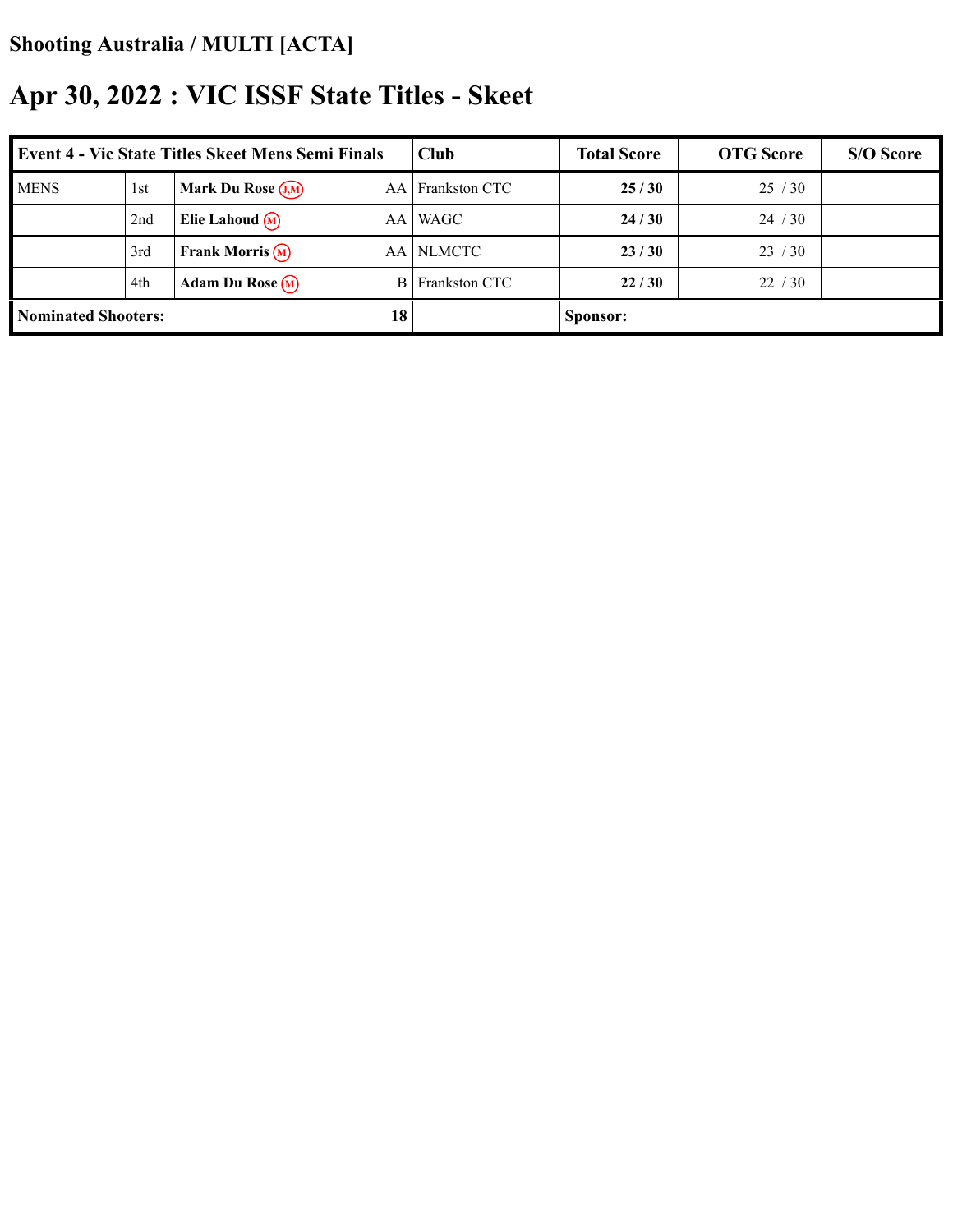| <b>Event 4 - Vic State Titles Skeet Mens Semi Finals</b> |     |                              | Club     | <b>Total Score</b>   | <b>OTG</b> Score | S/O Score |  |
|----------------------------------------------------------|-----|------------------------------|----------|----------------------|------------------|-----------|--|
| <b>MENS</b>                                              | 1st | Mark Du Rose $(J,M)$         | AA I     | <b>Frankston CTC</b> | 25/30            | 25/30     |  |
|                                                          | 2nd | Elie Lahoud $\Omega$         | AA I     | WAGC                 | 24/30            | 24/30     |  |
|                                                          | 3rd | <b>Frank Morris</b> $\Omega$ | AA I     | <b>NLMCTC</b>        | 23/30            | 23/30     |  |
|                                                          | 4th | Adam Du Rose $(M)$           | B.       | Frankston CTC        | 22/30            | 22/30     |  |
| <b>Nominated Shooters:</b><br>18                         |     |                              | Sponsor: |                      |                  |           |  |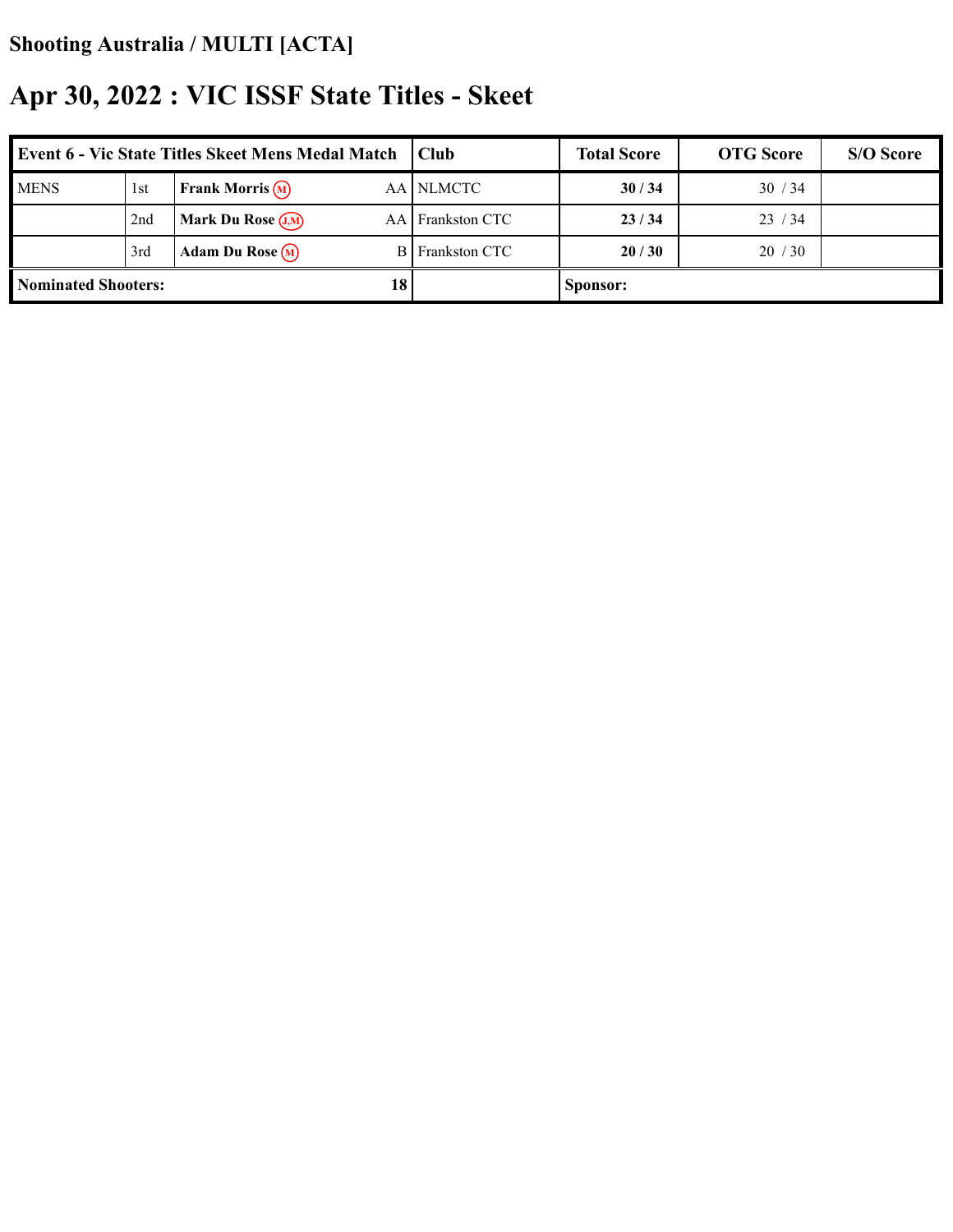| <b>Event 6 - Vic State Titles Skeet Mens Medal Match</b> |                 |                                    | Club <sub>.</sub> | <b>Total Score</b>     | <b>OTG</b> Score | S/O Score |  |
|----------------------------------------------------------|-----------------|------------------------------------|-------------------|------------------------|------------------|-----------|--|
| <b>MENS</b>                                              | 1st             | <b>Frank Morris</b> $(\mathbf{M})$ |                   | AA NLMCTC              | 30/34            | 30/34     |  |
|                                                          | 2 <sub>nd</sub> | <b>Mark Du Rose</b> $(J,M)$        |                   | AA Frankston CTC       | 23/34            | 23/34     |  |
|                                                          | 3rd             | Adam Du Rose $(M)$                 |                   | <b>B</b> Frankston CTC | 20/30            | 20/30     |  |
| 18<br><b>Nominated Shooters:</b>                         |                 |                                    |                   | Sponsor:               |                  |           |  |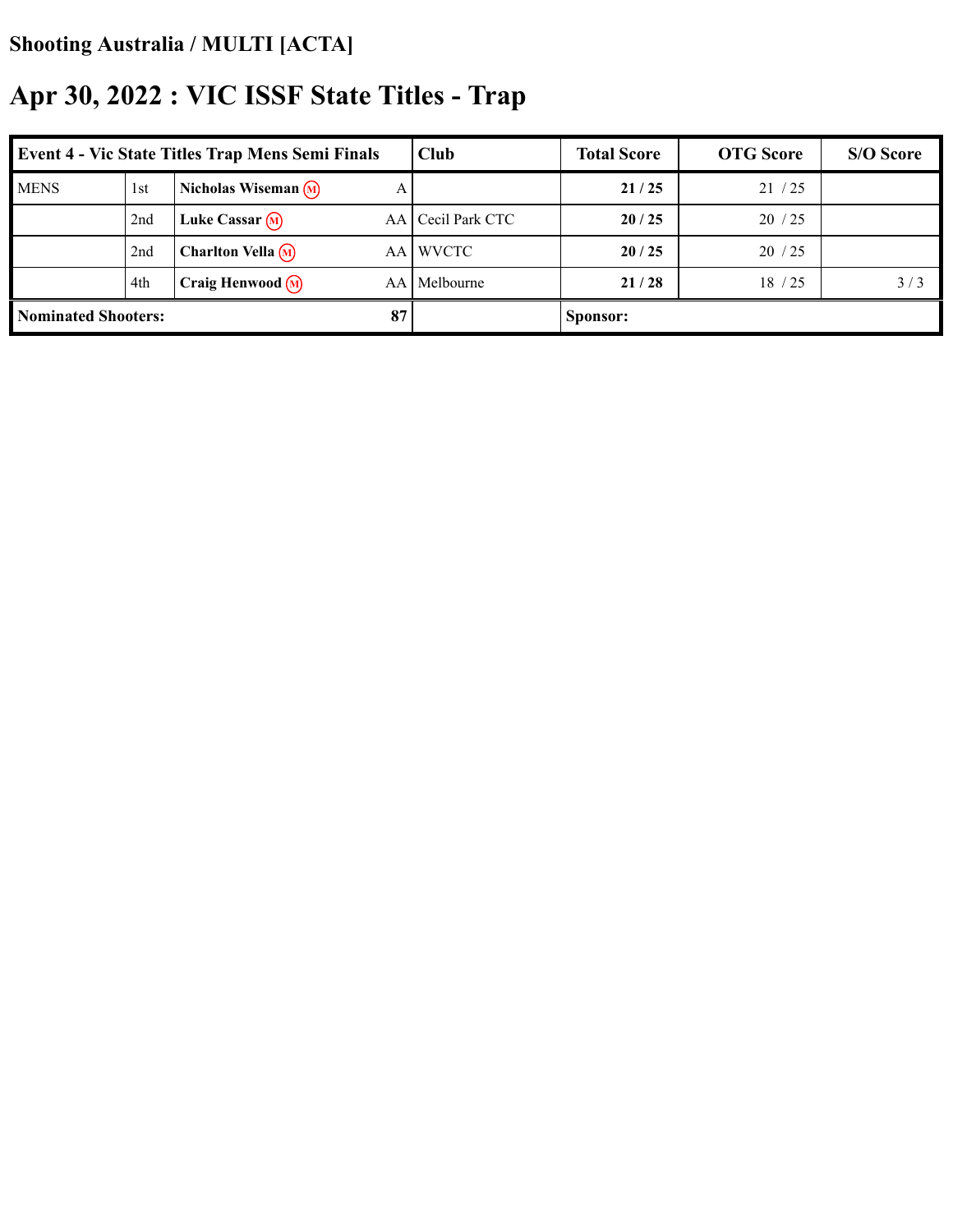| <b>Event 4 - Vic State Titles Trap Mens Semi Finals</b> |                 |                                | Club     | <b>Total Score</b> | <b>OTG</b> Score | S/O Score |     |
|---------------------------------------------------------|-----------------|--------------------------------|----------|--------------------|------------------|-----------|-----|
| <b>MENS</b>                                             | 1 <sub>st</sub> | Nicholas Wiseman $(M)$         | A        |                    | 21/25            | 21/25     |     |
|                                                         | 2nd             | Luke Cassar $(M)$              | AA I     | Cecil Park CTC     | 20/25            | 20/25     |     |
|                                                         | 2nd             | <b>Charlton Vella</b> $\Omega$ | AA I     | <b>WVCTC</b>       | 20/25            | 20/25     |     |
|                                                         | 4th             | Craig Henwood $\binom{M}{n}$   | AА       | Melbourne          | 21/28            | 18/25     | 3/3 |
| 87<br><b>Nominated Shooters:</b>                        |                 |                                | Sponsor: |                    |                  |           |     |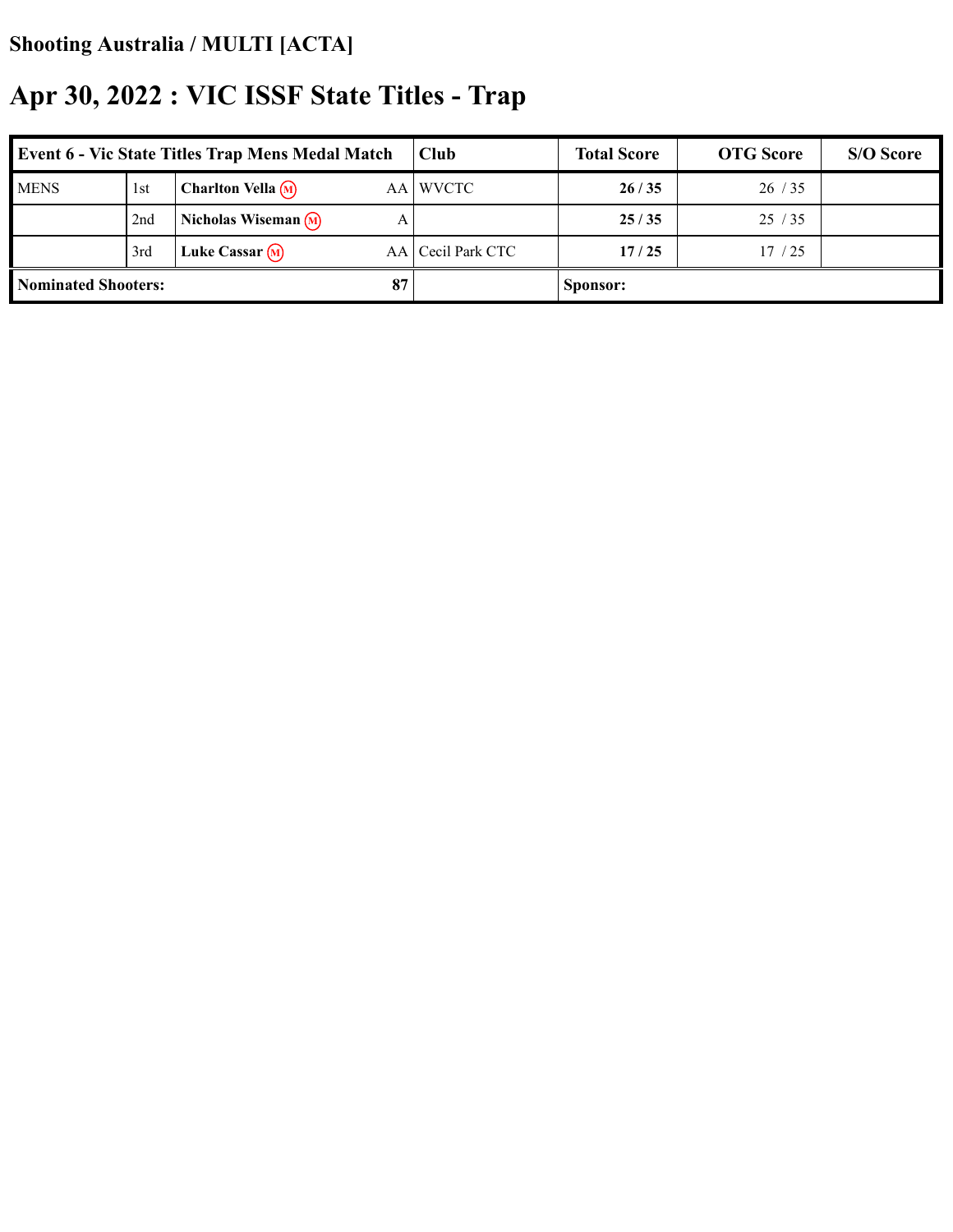| <b>Event 6 - Vic State Titles Trap Mens Medal Match</b> |     |                                        | Club              | <b>Total Score</b> | <b>OTG</b> Score | S/O Score |
|---------------------------------------------------------|-----|----------------------------------------|-------------------|--------------------|------------------|-----------|
| <b>MENS</b>                                             | 1st | <b>Charlton Vella</b> $\Omega$<br>AA I | <b>WVCTC</b>      | 26/35              | 26/35            |           |
|                                                         | 2nd | Nicholas Wiseman $(M)$<br>А            |                   | 25/35              | 25/35            |           |
|                                                         | 3rd | Luke Cassar $(M)$                      | AA Cecil Park CTC | 17/25              | 17/25            |           |
| <b>Nominated Shooters:</b><br>87                        |     |                                        | Sponsor:          |                    |                  |           |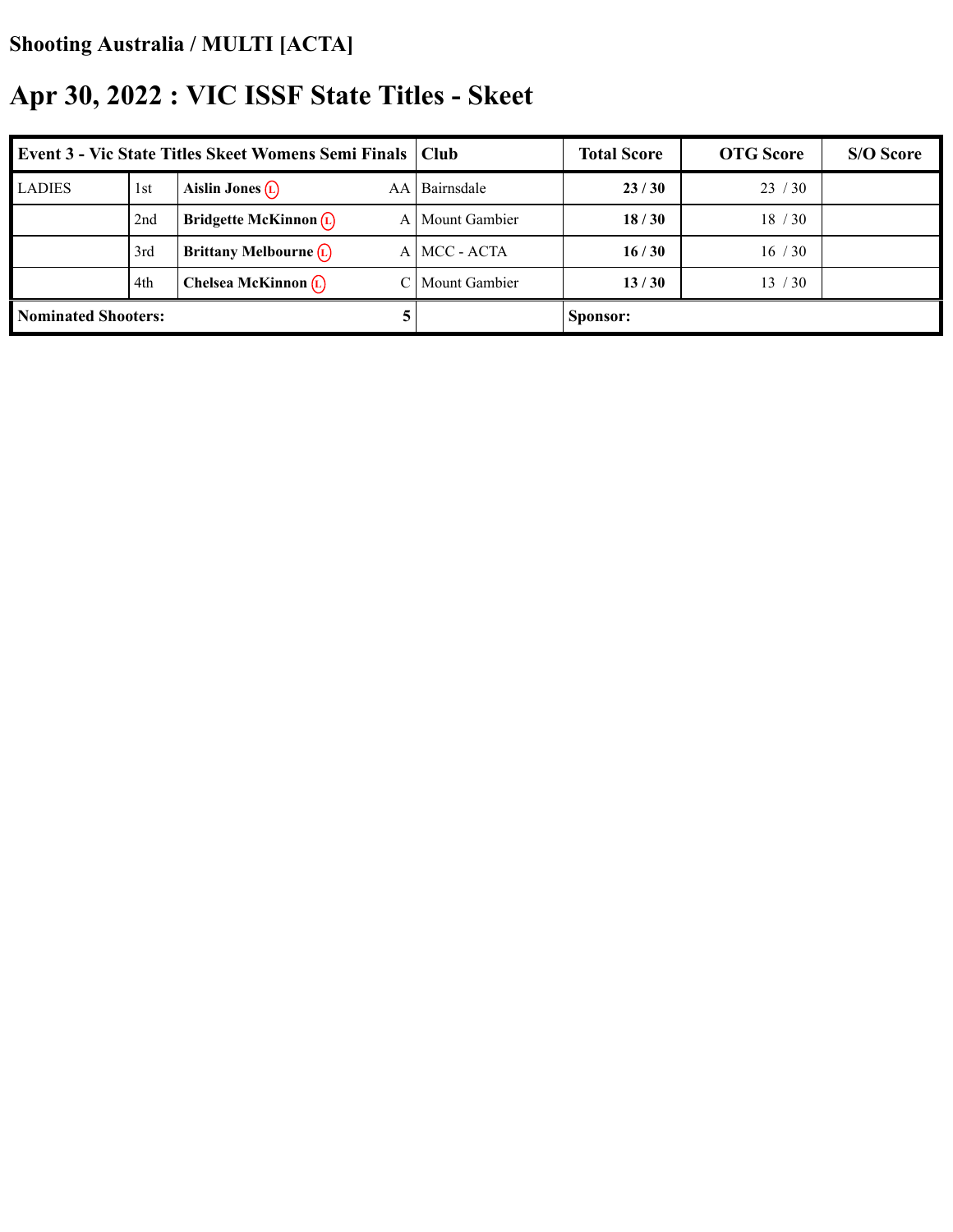| <b>Event 3 - Vic State Titles Skeet Womens Semi Finals   Club</b> |     |                                          |                      | <b>Total Score</b> | <b>OTG</b> Score | S/O Score |
|-------------------------------------------------------------------|-----|------------------------------------------|----------------------|--------------------|------------------|-----------|
| <b>LADIES</b>                                                     | 1st | Aislin Jones $(L)$<br>AA                 | Bairnsdale           | 23/30              | 23/30            |           |
|                                                                   | 2nd | Bridgette McKinnon $(D)$<br>$\mathbf{A}$ | Mount Gambier        | 18/30              | 18/30            |           |
|                                                                   | 3rd | Brittany Melbourne $\overline{L}$        | A MCC - ACTA         | 16/30              | 16/30            |           |
|                                                                   | 4th | Chelsea McKinnon $(L)$                   | <b>Mount Gambier</b> | 13/30              | 13 / 30          |           |
| <b>Nominated Shooters:</b>                                        |     |                                          | Sponsor:             |                    |                  |           |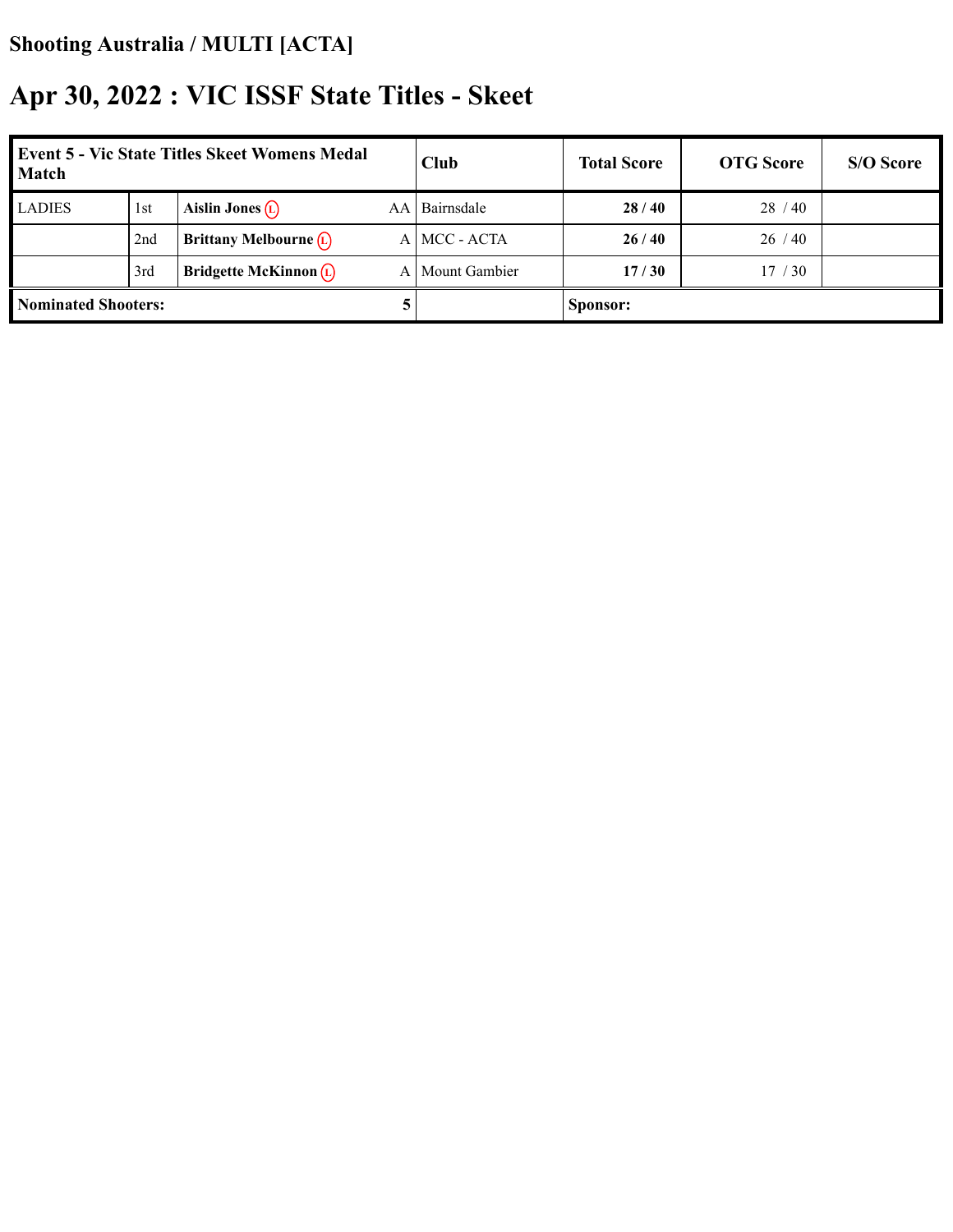| <b>Event 5 - Vic State Titles Skeet Womens Medal</b><br><b>Match</b> |     |                          | Club | <b>Total Score</b> | <b>OTG</b> Score | S/O Score |  |
|----------------------------------------------------------------------|-----|--------------------------|------|--------------------|------------------|-----------|--|
| <b>LADIES</b>                                                        | 1st | Aislin Jones $(L)$       | AA.  | Bairnsdale         | 28/40            | 28/40     |  |
|                                                                      | 2nd | Brittany Melbourne $(L)$ |      | A MCC - ACTA       | 26/40            | 26/40     |  |
|                                                                      | 3rd | Bridgette McKinnon $(D)$ | ΑI   | Mount Gambier      | 17/30            | 17/30     |  |
| <b>Nominated Shooters:</b>                                           |     |                          |      | Sponsor:           |                  |           |  |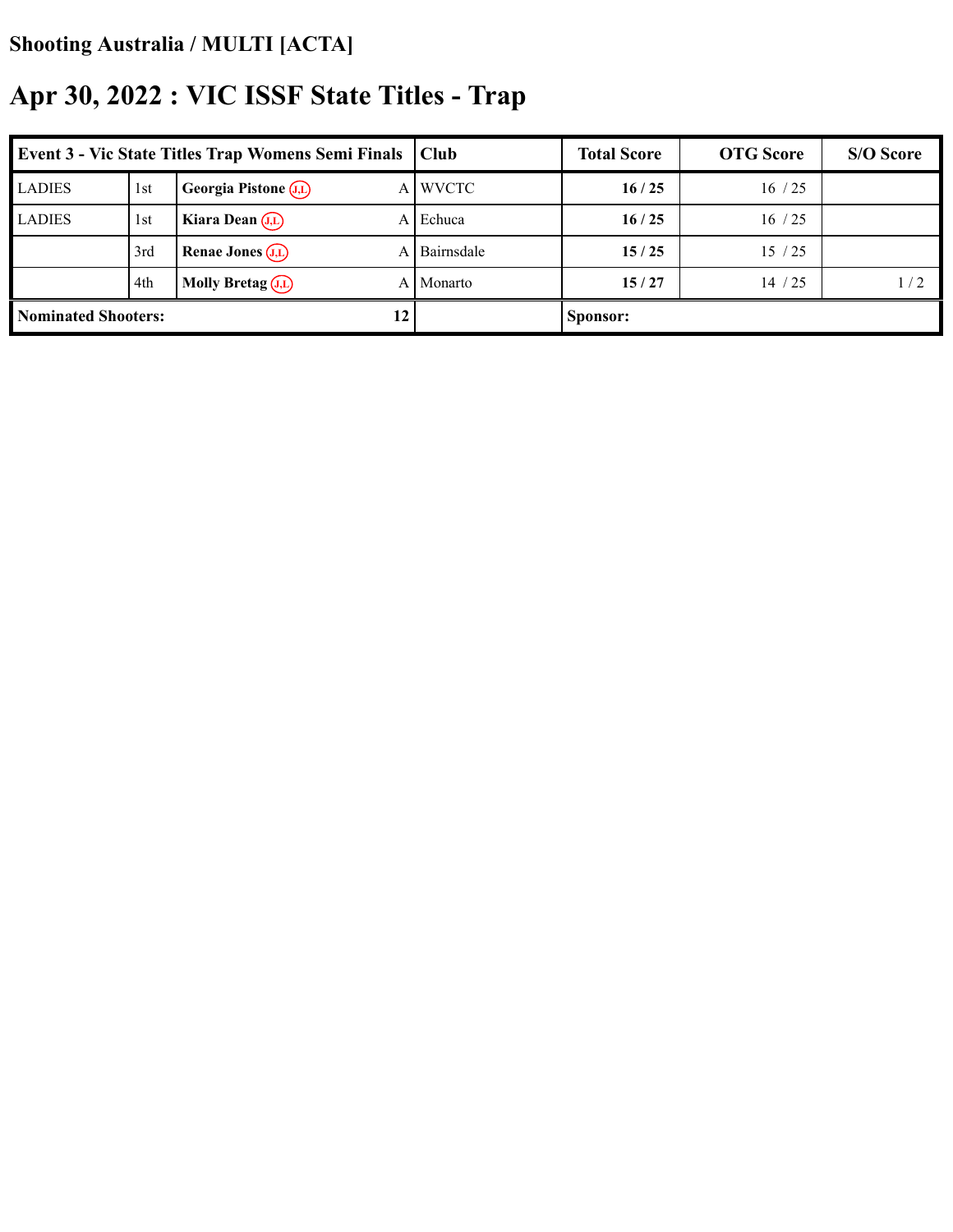| <b>Event 3 - Vic State Titles Trap Womens Semi Finals</b> |     |                                 | <b>Club</b>  | <b>Total Score</b> | <b>OTG</b> Score | S/O Score |
|-----------------------------------------------------------|-----|---------------------------------|--------------|--------------------|------------------|-----------|
| <b>LADIES</b>                                             | 1st | Georgia Pistone (J,L)<br>A      | <b>WVCTC</b> | 16/25              | 16/25            |           |
| <b>LADIES</b>                                             | 1st | Kiara Dean $(J,L)$<br>A         | Echuca       | 16/25              | 16/25            |           |
|                                                           | 3rd | <b>Renae Jones</b> $(J,L)$<br>A | Bairnsdale   | 15/25              | 15/25            |           |
|                                                           | 4th | Molly Bretag $(J,L)$<br>A       | Monarto      | 15/27              | 14/25            | 1/2       |
| <b>Nominated Shooters:</b><br>12                          |     |                                 | Sponsor:     |                    |                  |           |